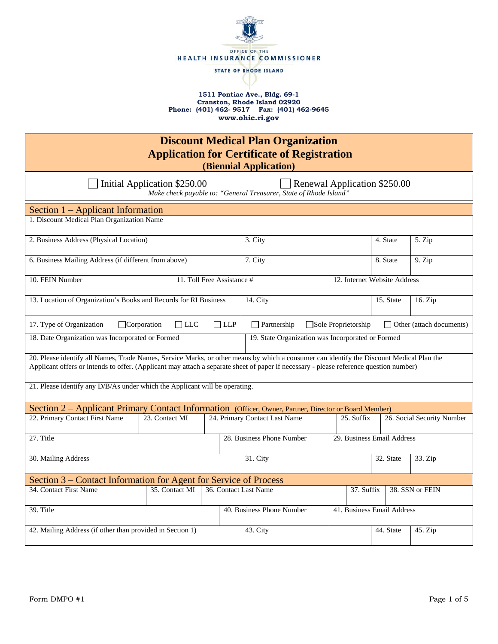

## **1511 Pontiac Ave., Bldg. 69-1 Cranston, Rhode Island 02920 Phone: (401) 462- 9517 Fax: (401) 462-9645 www.ohic.ri.gov**

| <b>Discount Medical Plan Organization</b><br><b>Application for Certificate of Registration</b><br>(Biennial Application)                                                                                                                                                          |                |                       |          |                                             |            |           |                              |                 |  |
|------------------------------------------------------------------------------------------------------------------------------------------------------------------------------------------------------------------------------------------------------------------------------------|----------------|-----------------------|----------|---------------------------------------------|------------|-----------|------------------------------|-----------------|--|
| Renewal Application \$250.00<br>Initial Application \$250.00<br>Make check payable to: "General Treasurer, State of Rhode Island"                                                                                                                                                  |                |                       |          |                                             |            |           |                              |                 |  |
| Section 1 - Applicant Information                                                                                                                                                                                                                                                  |                |                       |          |                                             |            |           |                              |                 |  |
| 1. Discount Medical Plan Organization Name                                                                                                                                                                                                                                         |                |                       |          |                                             |            |           |                              |                 |  |
| 2. Business Address (Physical Location)                                                                                                                                                                                                                                            |                |                       |          | 3. City                                     |            |           | 4. State                     | 5. Zip          |  |
| 6. Business Mailing Address (if different from above)                                                                                                                                                                                                                              |                |                       |          | 7. City                                     |            |           | 8. State                     | 9. Zip          |  |
| 10. FEIN Number<br>11. Toll Free Assistance #                                                                                                                                                                                                                                      |                |                       |          |                                             |            |           | 12. Internet Website Address |                 |  |
| 13. Location of Organization's Books and Records for RI Business                                                                                                                                                                                                                   |                | 14. City              |          |                                             |            | 15. State | 16. Zip                      |                 |  |
| 17. Type of Organization<br>$\Box$ Corporation<br>$\Box$ LLC<br>$\Box$ LLP<br>Sole Proprietorship<br>$\Box$ Partnership<br>$\Box$ Other (attach documents)                                                                                                                         |                |                       |          |                                             |            |           |                              |                 |  |
| 18. Date Organization was Incorporated or Formed<br>19. State Organization was Incorporated or Formed                                                                                                                                                                              |                |                       |          |                                             |            |           |                              |                 |  |
| 20. Please identify all Names, Trade Names, Service Marks, or other means by which a consumer can identify the Discount Medical Plan the<br>Applicant offers or intends to offer. (Applicant may attach a separate sheet of paper if necessary - please reference question number) |                |                       |          |                                             |            |           |                              |                 |  |
| 21. Please identify any D/B/As under which the Applicant will be operating.                                                                                                                                                                                                        |                |                       |          |                                             |            |           |                              |                 |  |
| Section 2 - Applicant Primary Contact Information (Officer, Owner, Partner, Director or Board Member)                                                                                                                                                                              |                |                       |          |                                             |            |           |                              |                 |  |
| 22. Primary Contact First Name                                                                                                                                                                                                                                                     | 23. Contact MI |                       |          | 24. Primary Contact Last Name<br>25. Suffix |            |           | 26. Social Security Number   |                 |  |
| 27. Title<br>29. Business Email Address<br>28. Business Phone Number                                                                                                                                                                                                               |                |                       |          |                                             |            |           |                              |                 |  |
| 30. Mailing Address                                                                                                                                                                                                                                                                |                |                       | 31. City |                                             |            | 32. State | 33. Zip                      |                 |  |
| Section 3 – Contact Information for Agent for Service of Process                                                                                                                                                                                                                   |                |                       |          |                                             |            |           |                              |                 |  |
| 34. Contact First Name                                                                                                                                                                                                                                                             | 35. Contact MI | 36. Contact Last Name |          |                                             | 37. Suffix |           |                              | 38. SSN or FEIN |  |
| 39. Title                                                                                                                                                                                                                                                                          |                |                       |          | 40. Business Phone Number                   |            |           | 41. Business Email Address   |                 |  |
| 42. Mailing Address (if other than provided in Section 1)                                                                                                                                                                                                                          |                |                       | 43. City |                                             |            | 44. State | $45.$ Zip                    |                 |  |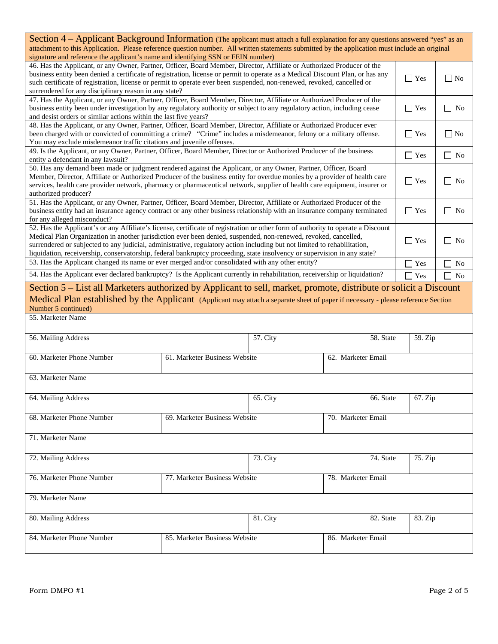| Section 4 - Applicant Background Information (The applicant must attach a full explanation for any questions answered "yes" as an<br>attachment to this Application. Please reference question number. All written statements submitted by the application must include an original<br>signature and reference the applicant's name and identifying SSN or FEIN number)                                                                                                                                     |                                                     |                    |                    |           |               |                     |  |
|-------------------------------------------------------------------------------------------------------------------------------------------------------------------------------------------------------------------------------------------------------------------------------------------------------------------------------------------------------------------------------------------------------------------------------------------------------------------------------------------------------------|-----------------------------------------------------|--------------------|--------------------|-----------|---------------|---------------------|--|
| 46. Has the Applicant, or any Owner, Partner, Officer, Board Member, Director, Affiliate or Authorized Producer of the<br>business entity been denied a certificate of registration, license or permit to operate as a Medical Discount Plan, or has any<br>such certificate of registration, license or permit to operate ever been suspended, non-renewed, revoked, cancelled or<br>surrendered for any disciplinary reason in any state?                                                                 |                                                     |                    |                    |           | $\Gamma$ Yes  | $\Box$ No           |  |
| 47. Has the Applicant, or any Owner, Partner, Officer, Board Member, Director, Affiliate or Authorized Producer of the<br>business entity been under investigation by any regulatory authority or subject to any regulatory action, including cease<br>and desist orders or similar actions within the last five years?                                                                                                                                                                                     |                                                     |                    |                    |           | $\Gamma$ Yes  | No<br>$\Box$        |  |
| 48. Has the Applicant, or any Owner, Partner, Officer, Board Member, Director, Affiliate or Authorized Producer ever<br>been charged with or convicted of committing a crime? "Crime" includes a misdemeanor, felony or a military offense.<br>You may exclude misdemeanor traffic citations and juvenile offenses.                                                                                                                                                                                         |                                                     |                    |                    |           | $\Gamma$ Yes  | $\Box$ No           |  |
| 49. Is the Applicant, or any Owner, Partner, Officer, Board Member, Director or Authorized Producer of the business<br>entity a defendant in any lawsuit?                                                                                                                                                                                                                                                                                                                                                   |                                                     |                    |                    |           | $\Gamma$ Yes  | $\Box$ No           |  |
| 50. Has any demand been made or judgment rendered against the Applicant, or any Owner, Partner, Officer, Board<br>Member, Director, Affiliate or Authorized Producer of the business entity for overdue monies by a provider of health care<br>services, health care provider network, pharmacy or pharmaceutical network, supplier of health care equipment, insurer or<br>authorized producer?                                                                                                            |                                                     |                    |                    |           | $\Gamma$ Yes  | No                  |  |
| 51. Has the Applicant, or any Owner, Partner, Officer, Board Member, Director, Affiliate or Authorized Producer of the<br>business entity had an insurance agency contract or any other business relationship with an insurance company terminated<br>for any alleged misconduct?                                                                                                                                                                                                                           |                                                     |                    |                    |           | $\Gamma$ Yes  | <b>No</b><br>$\Box$ |  |
| 52. Has the Applicant's or any Affiliate's license, certificate of registration or other form of authority to operate a Discount<br>Medical Plan Organization in another jurisdiction ever been denied, suspended, non-renewed, revoked, cancelled,<br>surrendered or subjected to any judicial, administrative, regulatory action including but not limited to rehabilitation,<br>liquidation, receivership, conservatorship, federal bankruptcy proceeding, state insolvency or supervision in any state? |                                                     |                    |                    |           | $\Box$ Yes    | N <sub>0</sub>      |  |
| 53. Has the Applicant changed its name or ever merged and/or consolidated with any other entity?                                                                                                                                                                                                                                                                                                                                                                                                            |                                                     |                    | Yes                | <b>No</b> |               |                     |  |
| 54. Has the Applicant ever declared bankruptcy? Is the Applicant currently in rehabilitation, receivership or liquidation?                                                                                                                                                                                                                                                                                                                                                                                  |                                                     |                    |                    |           | $\exists$ Yes | N <sub>o</sub>      |  |
| Section 5 – List all Marketers authorized by Applicant to sell, market, promote, distribute or solicit a Discount<br>Medical Plan established by the Applicant (Applicant may attach a separate sheet of paper if necessary - please reference Section<br>Number 5 continued)<br>55. Marketer Name                                                                                                                                                                                                          |                                                     |                    |                    |           |               |                     |  |
| 56. Mailing Address<br>58. State                                                                                                                                                                                                                                                                                                                                                                                                                                                                            |                                                     |                    |                    |           | 59. Zip       |                     |  |
|                                                                                                                                                                                                                                                                                                                                                                                                                                                                                                             |                                                     | 57. City           |                    |           |               |                     |  |
| 60. Marketer Phone Number                                                                                                                                                                                                                                                                                                                                                                                                                                                                                   | 61. Marketer Business Website                       | 62. Marketer Email |                    |           |               |                     |  |
| 63. Marketer Name                                                                                                                                                                                                                                                                                                                                                                                                                                                                                           |                                                     |                    |                    |           |               |                     |  |
| 64. Mailing Address                                                                                                                                                                                                                                                                                                                                                                                                                                                                                         |                                                     | 65. City           | 66. State          |           | 67. Zip       |                     |  |
| 68. Marketer Phone Number                                                                                                                                                                                                                                                                                                                                                                                                                                                                                   | 69. Marketer Business Website<br>70. Marketer Email |                    |                    |           |               |                     |  |
| 71. Marketer Name                                                                                                                                                                                                                                                                                                                                                                                                                                                                                           |                                                     |                    |                    |           |               |                     |  |
| 72. Mailing Address                                                                                                                                                                                                                                                                                                                                                                                                                                                                                         |                                                     | 73. City           |                    | 74. State | 75. Zip       |                     |  |
| 76. Marketer Phone Number                                                                                                                                                                                                                                                                                                                                                                                                                                                                                   | 77. Marketer Business Website                       |                    | 78. Marketer Email |           |               |                     |  |
| 79. Marketer Name                                                                                                                                                                                                                                                                                                                                                                                                                                                                                           |                                                     |                    |                    |           |               |                     |  |
| 80. Mailing Address                                                                                                                                                                                                                                                                                                                                                                                                                                                                                         |                                                     | 81. City           |                    | 82. State | 83. Zip       |                     |  |
| 84. Marketer Phone Number                                                                                                                                                                                                                                                                                                                                                                                                                                                                                   | 85. Marketer Business Website                       |                    | 86. Marketer Email |           |               |                     |  |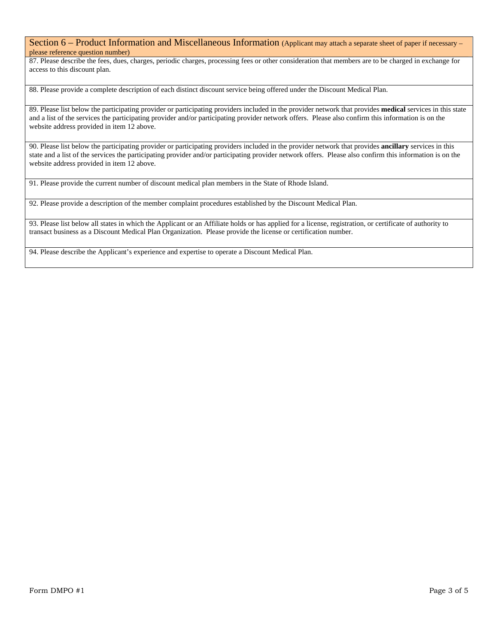## Section 6 – Product Information and Miscellaneous Information (Applicant may attach a separate sheet of paper if necessary – please reference question number)

87. Please describe the fees, dues, charges, periodic charges, processing fees or other consideration that members are to be charged in exchange for access to this discount plan.

88. Please provide a complete description of each distinct discount service being offered under the Discount Medical Plan.

89. Please list below the participating provider or participating providers included in the provider network that provides **medical** services in this state and a list of the services the participating provider and/or participating provider network offers. Please also confirm this information is on the website address provided in item 12 above.

90. Please list below the participating provider or participating providers included in the provider network that provides **ancillary** services in this state and a list of the services the participating provider and/or participating provider network offers. Please also confirm this information is on the website address provided in item 12 above.

91. Please provide the current number of discount medical plan members in the State of Rhode Island.

92. Please provide a description of the member complaint procedures established by the Discount Medical Plan.

93. Please list below all states in which the Applicant or an Affiliate holds or has applied for a license, registration, or certificate of authority to transact business as a Discount Medical Plan Organization. Please provide the license or certification number.

94. Please describe the Applicant's experience and expertise to operate a Discount Medical Plan.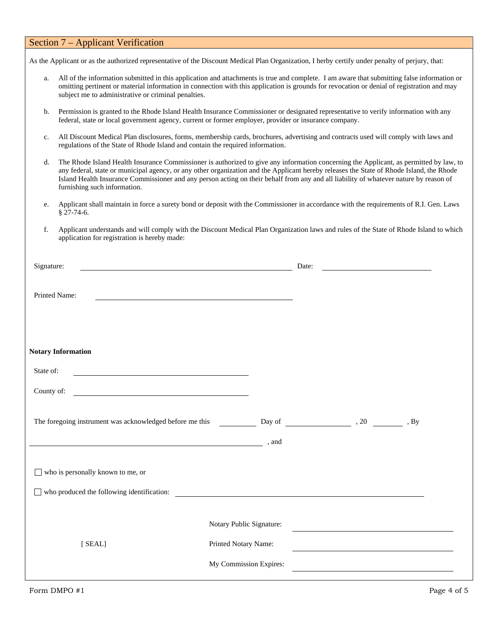|                                                                                                                                                                                                                                                                                                                                                       | Section 7 – Applicant Verification                                                                                                                                                                                                                                                                                                                                                                                                                          |                          |       |  |  |  |
|-------------------------------------------------------------------------------------------------------------------------------------------------------------------------------------------------------------------------------------------------------------------------------------------------------------------------------------------------------|-------------------------------------------------------------------------------------------------------------------------------------------------------------------------------------------------------------------------------------------------------------------------------------------------------------------------------------------------------------------------------------------------------------------------------------------------------------|--------------------------|-------|--|--|--|
|                                                                                                                                                                                                                                                                                                                                                       | As the Applicant or as the authorized representative of the Discount Medical Plan Organization, I herby certify under penalty of perjury, that:                                                                                                                                                                                                                                                                                                             |                          |       |  |  |  |
| All of the information submitted in this application and attachments is true and complete. I am aware that submitting false information or<br>a.<br>omitting pertinent or material information in connection with this application is grounds for revocation or denial of registration and may<br>subject me to administrative or criminal penalties. |                                                                                                                                                                                                                                                                                                                                                                                                                                                             |                          |       |  |  |  |
| $\mathbf b$ .                                                                                                                                                                                                                                                                                                                                         | Permission is granted to the Rhode Island Health Insurance Commissioner or designated representative to verify information with any<br>federal, state or local government agency, current or former employer, provider or insurance company.                                                                                                                                                                                                                |                          |       |  |  |  |
| All Discount Medical Plan disclosures, forms, membership cards, brochures, advertising and contracts used will comply with laws and<br>c.<br>regulations of the State of Rhode Island and contain the required information.                                                                                                                           |                                                                                                                                                                                                                                                                                                                                                                                                                                                             |                          |       |  |  |  |
| d.                                                                                                                                                                                                                                                                                                                                                    | The Rhode Island Health Insurance Commissioner is authorized to give any information concerning the Applicant, as permitted by law, to<br>any federal, state or municipal agency, or any other organization and the Applicant hereby releases the State of Rhode Island, the Rhode<br>Island Health Insurance Commissioner and any person acting on their behalf from any and all liability of whatever nature by reason of<br>furnishing such information. |                          |       |  |  |  |
| e.                                                                                                                                                                                                                                                                                                                                                    | Applicant shall maintain in force a surety bond or deposit with the Commissioner in accordance with the requirements of R.I. Gen. Laws<br>$§$ 27-74-6.                                                                                                                                                                                                                                                                                                      |                          |       |  |  |  |
| f.                                                                                                                                                                                                                                                                                                                                                    | Applicant understands and will comply with the Discount Medical Plan Organization laws and rules of the State of Rhode Island to which<br>application for registration is hereby made:                                                                                                                                                                                                                                                                      |                          |       |  |  |  |
| Signature:                                                                                                                                                                                                                                                                                                                                            |                                                                                                                                                                                                                                                                                                                                                                                                                                                             |                          | Date: |  |  |  |
| Printed Name:                                                                                                                                                                                                                                                                                                                                         | <b>Notary Information</b>                                                                                                                                                                                                                                                                                                                                                                                                                                   |                          |       |  |  |  |
| State of:                                                                                                                                                                                                                                                                                                                                             |                                                                                                                                                                                                                                                                                                                                                                                                                                                             |                          |       |  |  |  |
| County of:                                                                                                                                                                                                                                                                                                                                            |                                                                                                                                                                                                                                                                                                                                                                                                                                                             |                          |       |  |  |  |
|                                                                                                                                                                                                                                                                                                                                                       | $\overline{\phantom{a}}$ , and                                                                                                                                                                                                                                                                                                                                                                                                                              |                          |       |  |  |  |
|                                                                                                                                                                                                                                                                                                                                                       | $\Box$ who is personally known to me, or                                                                                                                                                                                                                                                                                                                                                                                                                    |                          |       |  |  |  |
|                                                                                                                                                                                                                                                                                                                                                       | who produced the following identification:                                                                                                                                                                                                                                                                                                                                                                                                                  |                          |       |  |  |  |
|                                                                                                                                                                                                                                                                                                                                                       |                                                                                                                                                                                                                                                                                                                                                                                                                                                             | Notary Public Signature: |       |  |  |  |
|                                                                                                                                                                                                                                                                                                                                                       | [ SEAL]                                                                                                                                                                                                                                                                                                                                                                                                                                                     | Printed Notary Name:     |       |  |  |  |
|                                                                                                                                                                                                                                                                                                                                                       |                                                                                                                                                                                                                                                                                                                                                                                                                                                             | My Commission Expires:   |       |  |  |  |